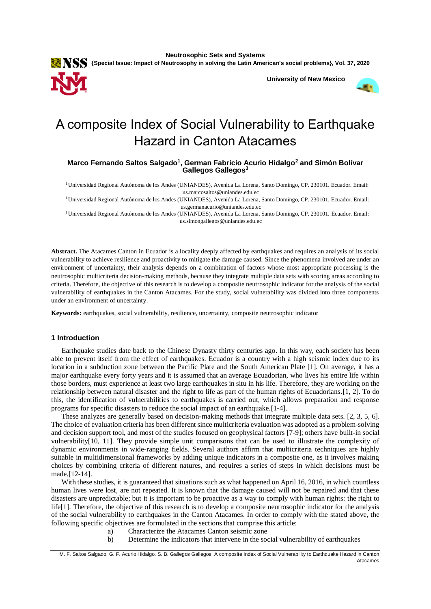

**Neutrosophic Sets and Systems {Special Issue: Impact of Neutrosophy in solving the Latin American's social problems}, Vol. 37, 2020**

 **University of New Mexico**



# A composite Index of Social Vulnerability to Earthquake Hazard in Canton Atacames

**Marco Fernando Saltos Salgado<sup>1</sup> , German Fabricio Acurio Hidalgo<sup>2</sup> and Simón Bolívar Gallegos Gallegos<sup>3</sup>**

<sup>1</sup>Universidad Regional Autónoma de los Andes (UNIANDES), Avenida La Lorena, Santo Domingo, CP. 230101. Ecuador. Email: us.marcosaltos@uniandes.edu.ec

<sup>1</sup>Universidad Regional Autónoma de los Andes (UNIANDES), Avenida La Lorena, Santo Domingo, CP. 230101. Ecuador. Email: us.germanacurio@uniandes.edu.ec

<sup>1</sup>Universidad Regional Autónoma de los Andes (UNIANDES), Avenida La Lorena, Santo Domingo, CP. 230101. Ecuador. Email: us.simongallegos@uniandes.edu.ec

**Abstract.** The Atacames Canton in Ecuador is a locality deeply affected by earthquakes and requires an analysis of its social vulnerability to achieve resilience and proactivity to mitigate the damage caused. Since the phenomena involved are under an environment of uncertainty, their analysis depends on a combination of factors whose most appropriate processing is the neutrosophic multicriteria decision-making methods, because they integrate multiple data sets with scoring areas according to criteria. Therefore, the objective of this research is to develop a composite neutrosophic indicator for the analysis of the social vulnerability of earthquakes in the Canton Atacames. For the study, social vulnerability was divided into three components under an environment of uncertainty.

**Keywords:** earthquakes, social vulnerability, resilience, uncertainty, composite neutrosophic indicator

## **1 Introduction**

Earthquake studies date back to the Chinese Dynasty thirty centuries ago. In this way, each society has been able to prevent itself from the effect of earthquakes. Ecuador is a country with a high seismic index due to its location in a subduction zone between the Pacific Plate and the South American Plate [1]. On average, it has a major earthquake every forty years and it is assumed that an average Ecuadorian, who lives his entire life within those borders, must experience at least two large earthquakes in situ in his life. Therefore, they are working on the relationship between natural disaster and the right to life as part of the human rights of Ecuadorians.[1, 2]. To do this, the identification of vulnerabilities to earthquakes is carried out, which allows preparation and response programs for specific disasters to reduce the social impact of an earthquake.[\[1-4\]](#page-7-0).

These analyzes are generally based on decision-making methods that integrate multiple data sets. [2, [3,](#page-7-1) [5,](#page-7-2) [6\]](#page-7-3). The choice of evaluation criteria has been different since multicriteria evaluation was adopted as a problem-solving and decision support tool, and most of the studies focused on geophysical factors [\[7-9\]](#page-7-4); others have built-in social vulnerability[\[10,](#page-7-5) 11]. They provide simple unit comparisons that can be used to illustrate the complexity of dynamic environments in wide-ranging fields. Several authors affirm that multicriteria techniques are highly suitable in multidimensional frameworks by adding unique indicators in a composite one, as it involves making choices by combining criteria of different natures, and requires a series of steps in which decisions must be made.[\[12-14\]](#page-7-6).

With these studies, it is guaranteed that situations such as what happened on April 16, 2016, in which countless human lives were lost, are not repeated. It is known that the damage caused will not be repaired and that these disasters are unpredictable; but it is important to be proactive as a way to comply with human rights: the right to life[1]. Therefore, the objective of this research is to develop a composite neutrosophic indicator for the analysis of the social vulnerability to earthquakes in the Canton Atacames. In order to comply with the stated above, the following specific objectives are formulated in the sections that comprise this article:

- a) Characterize the Atacames Canton seismic zone
- b) Determine the indicators that intervene in the social vulnerability of earthquakes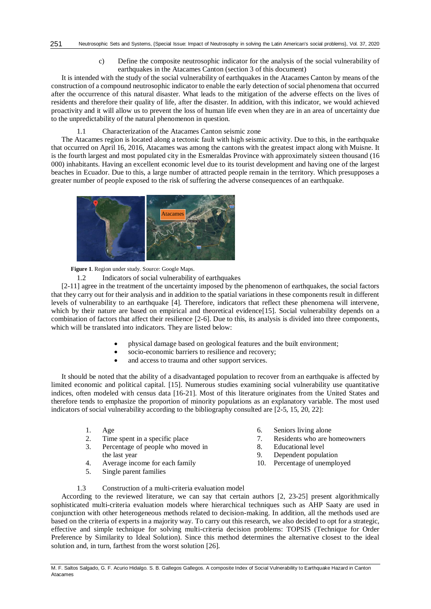c) Define the composite neutrosophic indicator for the analysis of the social vulnerability of earthquakes in the Atacames Canton (section 3 of this document)

It is intended with the study of the social vulnerability of earthquakes in the Atacames Canton by means of the construction of a compound neutrosophic indicator to enable the early detection of social phenomena that occurred after the occurrence of this natural disaster. What leads to the mitigation of the adverse effects on the lives of residents and therefore their quality of life, after the disaster. In addition, with this indicator, we would achieved proactivity and it will allow us to prevent the loss of human life even when they are in an area of uncertainty due to the unpredictability of the natural phenomenon in question.

# 1.1 Characterization of the Atacames Canton seismic zone

The Atacames region is located along a tectonic fault with high seismic activity. Due to this, in the earthquake that occurred on April 16, 2016, Atacames was among the cantons with the greatest impact along with Muisne. It is the fourth largest and most populated city in the Esmeraldas Province with approximately sixteen thousand (16 000) inhabitants. Having an excellent economic level due to its tourist development and having one of the largest beaches in Ecuador. Due to this, a large number of attracted people remain in the territory. Which presupposes a greater number of people exposed to the risk of suffering the adverse consequences of an earthquake.



**Figure 1**. Region under study. Source: Google Maps.

1.2 Indicators of social vulnerability of earthquakes

[\[2-11\]](#page-7-7) agree in the treatment of the uncertainty imposed by the phenomenon of earthquakes, the social factors that they carry out for their analysis and in addition to the spatial variations in these components result in different levels of vulnerability to an earthquake [\[4\]](#page-7-8). Therefore, indicators that reflect these phenomena will intervene, which by their nature are based on empirical and theoretical evidence<sup>[15]</sup>. Social vulnerability depends on a combination of factors that affect their resilience [\[2-6\]](#page-7-7). Due to this, its analysis is divided into three components, which will be translated into indicators. They are listed below:

- physical damage based on geological features and the built environment;
- socio-economic barriers to resilience and recovery;
- and access to trauma and other support services.

It should be noted that the ability of a disadvantaged population to recover from an earthquake is affected by limited economic and political capital. [15]. Numerous studies examining social vulnerability use quantitative indices, often modeled with census data [\[16-21\]](#page-8-0). Most of this literature originates from the United States and therefore tends to emphasize the proportion of minority populations as an explanatory variable. The most used indicators of social vulnerability according to the bibliography consulted are [\[2-5,](#page-7-7) 15, 20[, 22\]](#page-8-1):

- 1. Age
- 2. Time spent in a specific place
- 3. Percentage of people who moved in the last year
- 4. Average income for each family
- 5. Single parent families
- 6. Seniors living alone
- 7. Residents who are homeowners
- 8. Educational level
- 9. Dependent population
- 10. Percentage of unemployed

1.3 Construction of a multi-criteria evaluation model

According to the reviewed literature, we can say that certain authors [2, [23-25\]](#page-8-2) present algorithmically sophisticated multi-criteria evaluation models where hierarchical techniques such as AHP Saaty are used in conjunction with other heterogeneous methods related to decision-making. In addition, all the methods used are based on the criteria of experts in a majority way. To carry out this research, we also decided to opt for a strategic, effective and simple technique for solving multi-criteria decision problems: TOPSIS (Technique for Order Preference by Similarity to Ideal Solution). Since this method determines the alternative closest to the ideal solution and, in turn, farthest from the worst solution [\[26\]](#page-8-3).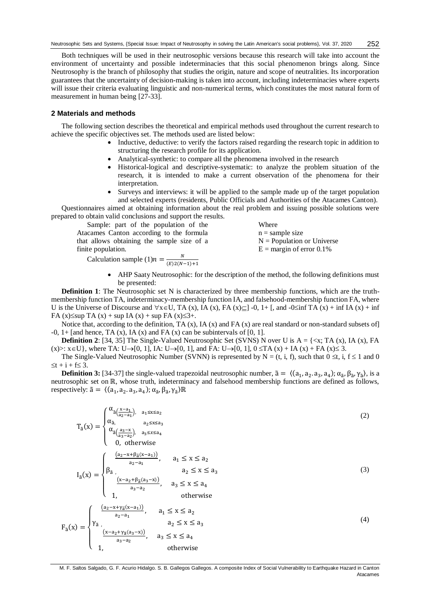Both techniques will be used in their neutrosophic versions because this research will take into account the environment of uncertainty and possible indeterminacies that this social phenomenon brings along. Since Neutrosophy is the branch of philosophy that studies the origin, nature and scope of neutralities. Its incorporation guarantees that the uncertainty of decision-making is taken into account, including indeterminacies where experts will issue their criteria evaluating linguistic and non-numerical terms, which constitutes the most natural form of measurement in human being [\[27-33\]](#page-8-4).

#### **2 Materials and methods**

The following section describes the theoretical and empirical methods used throughout the current research to achieve the specific objectives set. The methods used are listed below:

- Inductive, deductive: to verify the factors raised regarding the research topic in addition to structuring the research profile for its application.
- Analytical-synthetic: to compare all the phenomena involved in the research
- Historical-logical and descriptive-systematic: to analyze the problem situation of the research, it is intended to make a current observation of the phenomena for their interpretation.
- Surveys and interviews: it will be applied to the sample made up of the target population and selected experts (residents, Public Officials and Authorities of the Atacames Canton).

Questionnaires aimed at obtaining information about the real problem and issuing possible solutions were prepared to obtain valid conclusions and support the results. Whore

Sample: part of the population of the Atacames Canton according to the formula that allows obtaining the sample size of a finite population.

where  
\nn = sample size  
\n
$$
N
$$
 = Population or Universe  
\n $E$  = margin of error 0.1%

Calculation sample  $(1)n = \frac{N}{(E)2(N)}$  $(E)2(N-1)+1$ 

> AHP Saaty Neutrosophic: for the description of the method, the following definitions must be presented:

**Definition 1**: The Neutrosophic set N is characterized by three membership functions, which are the truthmembership function TA, indeterminacy-membership function IA, and falsehood-membership function FA, where U is the Universe of Discourse and  $\forall x \in U$ , TA (x), IA (x), FA (x) $\subseteq$  1-0, 1+ [, and  $-0 \le inf$  TA (x) + inf IA (x) + inf FA (x) $\leq$ sup TA (x) + sup IA (x) + sup FA (x) $\leq$ 3+.

Notice that, according to the definition, TA  $(x)$ , IA  $(x)$  and FA  $(x)$  are real standard or non-standard subsets of -0,  $1+$  [and hence, TA (x), IA (x) and FA (x) can be subintervals of [0, 1].

**Definition 2**: [\[34,](#page-8-5) [35\]](#page-8-6) The Single-Valued Neutrosophic Set (SVNS) N over U is  $A = \{ \langle x, TA(x), IA(x), FA(x), \rangle\}$  $(x)$  :  $x \in U$ , where TA:  $U \rightarrow [0, 1]$ , IA:  $U \rightarrow [0, 1]$ , and FA:  $U \rightarrow [0, 1]$ ,  $0 \le TA(x) + IA(x) + FA(x) \le 3$ .

The Single-Valued Neutrosophic Number (SVNN) is represented by  $N = (t, i, f)$ , such that  $0 \le t$ , i,  $f \le 1$  and 0  $\leq t + i + f \leq 3$ .

**Definition 3:** [\[34-37\]](#page-8-5) the single-valued trapezoidal neutrosophic number,  $\tilde{a} = \langle (a_1, a_2, a_3, a_4); \alpha_{\tilde{a}}, \beta_{\tilde{a}}, \gamma_{\tilde{a}} \rangle$ , is a neutrosophic set on ℝ, whose truth, indeterminacy and falsehood membership functions are defined as follows, respectively:  $\tilde{a} = \langle (a_1, a_2, a_3, a_4); \alpha_{\tilde{a}}, \beta_{\tilde{a}}, \gamma_{\tilde{a}} \rangle \mathbb{R}$ 

$$
T_{\tilde{a}}(x) = \begin{cases} \alpha_{\tilde{a}}\frac{x-a_1}{a_2-a_1}, & a_1 \le x \le a_2\\ \alpha_{\tilde{a}}\frac{a_3-x}{a_3-a_2}, & a_2 \le x \le a_3\\ \alpha_{\tilde{a}}\frac{a_3-x}{a_3-a_2}\end{cases}
$$
(2)  

$$
I_{\tilde{a}}(x) = \begin{cases} \frac{(a_2-x+\beta_{\tilde{a}}(x-a_1))}{a_2-a_1}, & a_1 \le x \le a_2\\ \beta_{\tilde{a}} & a_2 \le x \le a_3\\ \frac{(x-a_2+\beta_{\tilde{a}}(a_3-x))}{a_3-a_2}, & a_3 \le x \le a_4\\ 1, & \text{otherwise} \end{cases}
$$
(3)  

$$
F_{\tilde{a}}(x) = \begin{cases} \frac{(a_2-x+\gamma_{\tilde{a}}(x-a_1))}{a_2-a_1}, & a_1 \le x \le a_2\\ \gamma_{\tilde{a}} & a_2 \le x \le a_3\\ \frac{(x-a_2+\gamma_{\tilde{a}}(a_3-x))}{a_3-a_2}, & a_3 \le x \le a_4\\ 1, & \text{otherwise} \end{cases}
$$
(4)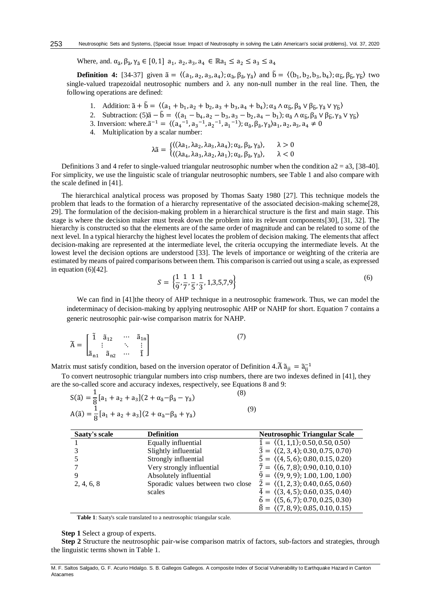Where, and.  $\alpha_{\tilde{a}}, \beta_{\tilde{a}}, \gamma_{\tilde{a}} \in [0,1]$  a<sub>1</sub>, a<sub>2</sub>, a<sub>3</sub>, a<sub>4</sub>  $\in \mathbb{R}$ a<sub>1</sub>  $\leq a_2 \leq a_3 \leq a_4$ 

**Definition 4:** [\[34-37\]](#page-8-5) given  $\tilde{a} = \langle (a_1, a_2, a_3, a_4); \alpha_{\tilde{a}}, \beta_{\tilde{a}}, \gamma_{\tilde{a}} \rangle$  and  $\tilde{b} = \langle (b_1, b_2, b_3, b_4); \alpha_{\tilde{b}}, \beta_{\tilde{b}}, \gamma_{\tilde{b}} \rangle$  two single-valued trapezoidal neutrosophic numbers and  $\lambda$  any non-null number in the real line. Then, the following operations are defined:

- 1. Addition:  $\tilde{a} + \tilde{b} = \langle (a_1 + b_1, a_2 + b_2, a_3 + b_3, a_4 + b_4); \alpha_{\tilde{a}} \wedge \alpha_{\tilde{b}}, \beta_{\tilde{a}} \vee \beta_{\tilde{b}}, \gamma_{\tilde{a}} \vee \gamma_{\tilde{b}} \rangle$
- 2. Subtraction:  $(5)\tilde{a} \tilde{b} = \langle (a_1 b_4, a_2 b_3, a_3 b_2, a_4 b_1) ; \alpha_{\tilde{a}} \wedge \alpha_{\tilde{b}}, \beta_{\tilde{a}} \vee \beta_{\tilde{b}}, \gamma_{\tilde{a}} \vee \gamma_{\tilde{b}} \rangle$
- 3. Inversion: where. $\tilde{a}^{-1} = \langle (a_4^{-1}, a_3^{-1}, a_2^{-1}, a_1^{-1}) ; \alpha_{\tilde{a}}, \beta_{\tilde{a}}, \gamma_{\tilde{a}} \rangle a_1, a_2, a_3, a_4 \neq 0$
- 4. Multiplication by a scalar number:

$$
\lambda \tilde{a} = \begin{cases} \langle (\lambda a_1, \lambda a_2, \lambda a_3, \lambda a_4); \alpha_{\tilde{a}}, \beta_{\tilde{a}}, \gamma_{\tilde{a}} \rangle, & \lambda > 0 \\ \langle (\lambda a_4, \lambda a_3, \lambda a_2, \lambda a_1); \alpha_{\tilde{a}}, \beta_{\tilde{a}}, \gamma_{\tilde{a}} \rangle, & \lambda < 0 \end{cases}
$$

Definitions 3 and 4 refer to single-valued triangular neutrosophic number when the condition  $a2 = a3$ , [\[38-40\]](#page-8-7). For simplicity, we use the linguistic scale of triangular neutrosophic numbers, see Table 1 and also compare with the scale defined in [\[41\]](#page-8-8).

The hierarchical analytical process was proposed by Thomas Saaty 1980 [\[27\]](#page-8-4). This technique models the problem that leads to the formation of a hierarchy representative of the associated decision-making scheme[\[28,](#page-8-9) [29\]](#page-8-10). The formulation of the decision-making problem in a hierarchical structure is the first and main stage. This stage is where the decision maker must break down the problem into its relevant components[\[30\]](#page-8-11), [\[31,](#page-8-12) [32\]](#page-8-13). The hierarchy is constructed so that the elements are of the same order of magnitude and can be related to some of the next level. In a typical hierarchy the highest level locates the problem of decision making. The elements that affect decision-making are represented at the intermediate level, the criteria occupying the intermediate levels. At the lowest level the decision options are understood [\[33\]](#page-8-14). The levels of importance or weighting of the criteria are estimated by means of paired comparisons between them. This comparison is carried out using a scale, as expressed in equation (6)[\[42\]](#page-8-15).

$$
S = \left\{ \frac{1}{9}, \frac{1}{7}, \frac{1}{5}, \frac{1}{3}, 1, 3, 5, 7, 9 \right\}
$$
 (6)

We can find in [\[41\]](#page-8-8) the theory of AHP technique in a neutrosophic framework. Thus, we can model the indeterminacy of decision-making by applying neutrosophic AHP or NAHP for short. Equation 7 contains a generic neutrosophic pair-wise comparison matrix for NAHP.

$$
\widetilde{A} = \begin{bmatrix} \widetilde{1} & \widetilde{a}_{12} & \cdots & \widetilde{a}_{1n} \\ \vdots & & \ddots & \vdots \\ \widetilde{a}_{n1} & \widetilde{a}_{n2} & \cdots & \widetilde{1} \end{bmatrix}
$$
\n(7)

Matrix must satisfy condition, based on the inversion operator of Definition 4. $\tilde{A} \tilde{a}_{ji} = \tilde{a}_{ij}^{-1}$ 

To convert neutrosophic triangular numbers into crisp numbers, there are two indexes defined in [\[41\]](#page-8-8), they are the so-called score and accuracy indexes, respectively, see Equations 8 and 9:

| $S(\tilde{a}) = \frac{1}{8} [a_1 + a_2 + a_3] (2 + \alpha_{\tilde{a}} - \beta_{\tilde{a}} - \gamma_{\tilde{a}})$ | (8) |
|------------------------------------------------------------------------------------------------------------------|-----|
| $A(\tilde{a}) = \frac{1}{8} [a_1 + a_2 + a_3](2 + \alpha_{\tilde{a}} - \beta_{\tilde{a}} + \gamma_{\tilde{a}})$  | (9) |

| Saaty's scale | <b>Definition</b>                 | <b>Neutrosophic Triangular Scale</b>                      |
|---------------|-----------------------------------|-----------------------------------------------------------|
|               | Equally influential               | $\tilde{1} = \langle (1,1,1); 0.50, 0.50, 0.50 \rangle$   |
|               | Slightly influential              | $\tilde{3} = \langle (2,3,4); 0.30, 0.75, 0.70 \rangle$   |
|               | Strongly influential              | $\bar{5} = \langle (4, 5, 6); 0.80, 0.15, 0.20 \rangle$   |
|               | Very strongly influential         | $\tilde{7} = \langle (6, 7, 8), 0.90, 0.10, 0.10 \rangle$ |
|               | Absolutely influential            | $\tilde{9} = \langle (9, 9, 9); 1.00, 1.00, 1.00 \rangle$ |
| 2, 4, 6, 8    | Sporadic values between two close | $\tilde{2} = \langle (1, 2, 3); 0.40, 0.65, 0.60 \rangle$ |
|               | scales                            | $\tilde{4} = \langle (3, 4, 5); 0.60, 0.35, 0.40 \rangle$ |
|               |                                   | $\tilde{6} = \langle (5,6,7); 0.70, 0.25, 0.30 \rangle$   |
|               |                                   | $\tilde{8} = \langle (7,8,9); 0.85, 0.10, 0.15 \rangle$   |

**Table 1**: Saaty's scale translated to a neutrosophic triangular scale.

**Step 1** Select a group of experts.

**Step 2** Structure the neutrosophic pair-wise comparison matrix of factors, sub-factors and strategies, through the linguistic terms shown in Table 1.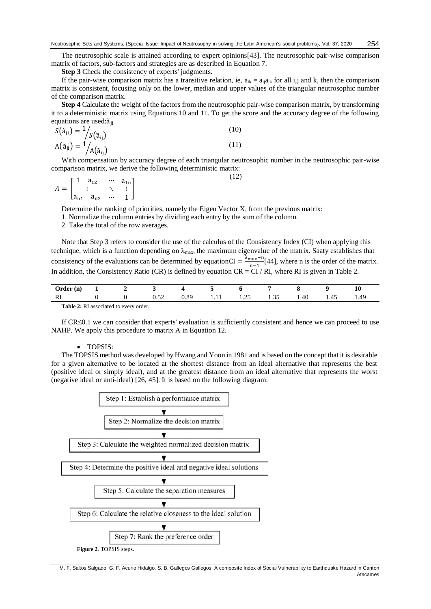The neutrosophic scale is attained according to expert opinions[\[43\]](#page-9-0). The neutrosophic pair-wise comparison matrix of factors, sub-factors and strategies are as described in Equation 7.

**Step 3** Check the consistency of experts' judgments.

If the pair-wise comparison matrix has a transitive relation, ie,  $a_{ik} = a_{ij}a_{ik}$  for all i,j and k, then the comparison matrix is consistent, focusing only on the lower, median and upper values of the triangular neutrosophic number of the comparison matrix.

**Step 4** Calculate the weight of the factors from the neutrosophic pair-wise comparison matrix, by transforming it to a deterministic matrix using Equations 10 and 11. To get the score and the accuracy degree of the following equations are used: $\tilde{a}_{ii}$ 

$$
S(\tilde{a}_{ji}) = \frac{1}{S(\tilde{a}_{ij})}
$$
\n
$$
A(\tilde{a}_{ji}) = \frac{1}{A(\tilde{a}_{ij})}
$$
\n(10)

With compensation by accuracy degree of each triangular neutrosophic number in the neutrosophic pair-wise comparison matrix, we derive the following deterministic matrix:

 $A = |$ 1  $a_{12}$  …  $a_{1n}$  $\mathbf{i}$  $a_{n1}$   $a_{n2}$  … 1 ] (12)

Determine the ranking of priorities, namely the Eigen Vector X, from the previous matrix:

1. Normalize the column entries by dividing each entry by the sum of the column.

2. Take the total of the row averages.

Note that Step 3 refers to consider the use of the calculus of the Consistency Index (CI) when applying this technique, which is a function depending on  $\lambda_{\text{max}}$ , the maximum eigenvalue of the matrix. Saaty establishes that consistency of the evaluations can be determined by equationCI =  $\frac{\lambda_{\text{max}} - n}{n}$  $\frac{\text{max}-n}{n-1}$ [\[44\]](#page-9-1), where n is the order of the matrix. In addition, the Consistency Ratio (CR) is defined by equation  $CR = CI / RI$ , where RI is given in Table 2.

| <b>Irdor</b><br>(n) | - |              |                    |   |                 |                                 |             |      | $\Omega$<br>10          |
|---------------------|---|--------------|--------------------|---|-----------------|---------------------------------|-------------|------|-------------------------|
| D.<br>w             |   | $ -$<br>∪.J∠ | $^{\circ}$<br>U.Oʻ | . | $\sim$<br>ر ے ک | $\sim$ $\sim$<br>. . <i>. .</i> | . .<br>1.40 | 1.40 | 4 <sup>c</sup><br>. . T |

**Table 2:** RI associated to every order.

If  $CR \leq 0.1$  we can consider that experts' evaluation is sufficiently consistent and hence we can proceed to use NAHP. We apply this procedure to matrix A in Equation 12.

#### • TOPSIS:

The TOPSIS method was developed by Hwang and Yoon in 1981 and is based on the concept that it is desirable for a given alternative to be located at the shortest distance from an ideal alternative that represents the best (positive ideal or simply ideal), and at the greatest distance from an ideal alternative that represents the worst (negative ideal or anti-ideal) [\[26,](#page-8-3) 45]. It is based on the following diagram:



M. F. Saltos Salgado, G. F. Acurio Hidalgo. S. B. Gallegos Gallegos. A composite Index of Social Vulnerability to Earthquake Hazard in Canton Atacames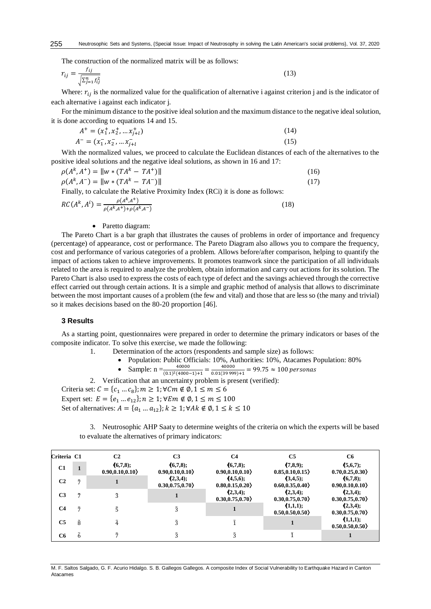The construction of the normalized matrix will be as follows:

$$
r_{ij} = \frac{f_{ij}}{\sqrt{\sum_{j=1}^{n} f_{ij}^2}}\tag{13}
$$

Where:  $r_{ij}$  is the normalized value for the qualification of alternative i against criterion j and is the indicator of each alternative i against each indicator j.

For the minimum distance to the positive ideal solution and the maximum distance to the negative ideal solution, it is done according to equations 14 and 15.

$$
A^{+} = (x_{1}^{+}, x_{2}^{+}, \dots x_{j+l}^{+})
$$
\n
$$
A^{-} = (x_{1}^{-}, x_{2}^{-}, \dots x_{j+l}^{-})
$$
\n
$$
(14)
$$
\n
$$
(15)
$$

With the normalized values, we proceed to calculate the Euclidean distances of each of the alternatives to the positive ideal solutions and the negative ideal solutions, as shown in 16 and 17:

$$
\rho(A^k, A^+) = ||w * (TA^k - TA^+)||
$$
\n
$$
\rho(A^k, A^-) = ||w * (TA^k - TA^-)||
$$
\n(16)

Finally, to calculate the Relative Proximity Index (RCi) it is done as follows:

$$
RC(A^{k}, A^{i}) = \frac{\rho(A^{k}, A^{+})}{\rho(A^{k}, A^{+}) + \rho(A^{k}, A^{-})}
$$
(18)

#### • Paretto diagram:

The Pareto Chart is a bar graph that illustrates the causes of problems in order of importance and frequency (percentage) of appearance, cost or performance. The Pareto Diagram also allows you to compare the frequency, cost and performance of various categories of a problem. Allows before/after comparison, helping to quantify the impact of actions taken to achieve improvements. It promotes teamwork since the participation of all individuals related to the area is required to analyze the problem, obtain information and carry out actions for its solution. The Pareto Chart is also used to express the costs of each type of defect and the savings achieved through the corrective effect carried out through certain actions. It is a simple and graphic method of analysis that allows to discriminate between the most important causes of a problem (the few and vital) and those that are less so (the many and trivial) so it makes decisions based on the 80-20 proportion [\[46\]](#page-9-2).

### **3 Results**

As a starting point, questionnaires were prepared in order to determine the primary indicators or bases of the composite indicator. To solve this exercise, we made the following:

- 1. Determination of the actors (respondents and sample size) as follows:
	- Population: Public Officials: 10%, Authorities: 10%, Atacames Population: 80%
	- Sample:  $n = \frac{40000}{(0.1)^2 (4000-1)+1} = \frac{40000}{0.01(3999)}$  $\frac{40000}{0.01(39999)+1} = 99.75 \approx 100 \text{ persons}$

2. Verification that an uncertainty problem is present (verified): Criteria set:  $C = \{c_1 ... c_8\}$ ;  $m \geq 1$ ;  $\forall C m \notin \emptyset$ ,  $1 \leq m \leq 6$ Expert set:  $E = \{e_1 ... e_{12}\}; n \ge 1; \forall E m \notin \emptyset, 1 \le m \le 100$ Set of alternatives:  $A = \{a_1 ... a_{12}\}; k \geq 1; \forall Ak \notin \emptyset, 1 \leq k \leq 10$ 

3. Neutrosophic AHP Saaty to determine weights of the criteria on which the experts will be based to evaluate the alternatives of primary indicators:

| Criteria C1    |              | C <sub>2</sub>               | C <sub>3</sub>               | C4                           | C <sub>5</sub>                  | C6                           |
|----------------|--------------|------------------------------|------------------------------|------------------------------|---------------------------------|------------------------------|
| C1             | $\mathbf{1}$ | (6,7,8);<br>0.90, 0.10, 0.10 | (6,7,8);<br>0.90, 0.10, 0.10 | (6,7,8);<br>0.90, 0.10, 0.10 | (7,8,9);<br>0.85, 0.10, 0.15    | (5,6,7);<br>0.70, 0.25, 0.30 |
| C <sub>2</sub> | $\tilde{7}$  |                              | (2,3,4);<br>0.30, 0.75, 0.70 | (4,5,6);<br>0.80, 0.15, 0.20 | (3,4,5);<br>0.60, 0.35, 0.40    | (6,7,8);<br>0.90, 0.10, 0.10 |
| C <sub>3</sub> | $\tilde{7}$  | Ã                            |                              | (2,3,4);<br>0.30, 0.75, 0.70 | $(2,3,4)$ ;<br>0.30, 0.75, 0.70 | (2,3,4);<br>0.30, 0.75, 0.70 |
| C <sub>4</sub> | $\tilde{7}$  |                              | $\tilde{3}$                  |                              | (1,1,1);<br>0.50, 0.50, 0.50    | (2,3,4);<br>0.30, 0.75, 0.70 |
| C <sub>5</sub> | ã            | Ã.                           | ã                            |                              |                                 | (1,1,1);<br>0.50, 0.50, 0.50 |
| C <sub>6</sub> | Ã            |                              | $\tilde{3}$                  |                              |                                 |                              |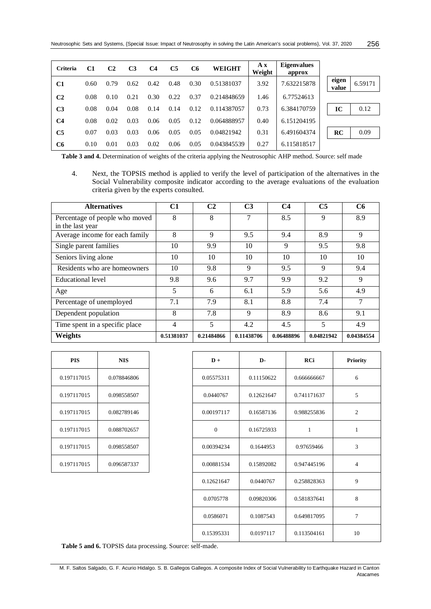| Criteria       | C1   | C <sub>2</sub> | C <sub>3</sub> | C <sub>4</sub> | <b>C5</b> | C <sub>6</sub> | <b>WEIGHT</b> | A x<br>Weight | <b>Eigenvalues</b><br>approx |                |         |
|----------------|------|----------------|----------------|----------------|-----------|----------------|---------------|---------------|------------------------------|----------------|---------|
| C <sub>1</sub> | 0.60 | 0.79           | 0.62           | 0.42           | 0.48      | 0.30           | 0.51381037    | 3.92          | 7.632215878                  | eigen<br>value | 6.59171 |
| C <sub>2</sub> | 0.08 | 0.10           | 0.21           | 0.30           | 0.22      | 0.37           | 0.214848659   | 1.46          | 6.77524613                   |                |         |
| C <sub>3</sub> | 0.08 | 0.04           | 0.08           | 0.14           | 0.14      | 0.12           | 0.114387057   | 0.73          | 6.384170759                  | IC             | 0.12    |
| C <sub>4</sub> | 0.08 | 0.02           | 0.03           | 0.06           | 0.05      | 0.12           | 0.064888957   | 0.40          | 6.151204195                  |                |         |
| C5             | 0.07 | 0.03           | 0.03           | 0.06           | 0.05      | 0.05           | 0.04821942    | 0.31          | 6.491604374                  | RC             | 0.09    |
| C <sub>6</sub> | 0.10 | 0.01           | 0.03           | 0.02           | 0.06      | 0.05           | 0.043845539   | 0.27          | 6.115818517                  |                |         |

**Table 3 and 4.** Determination of weights of the criteria applying the Neutrosophic AHP method. Source: self made

4. Next, the TOPSIS method is applied to verify the level of participation of the alternatives in the Social Vulnerability composite indicator according to the average evaluations of the evaluation criteria given by the experts consulted.

| <b>Alternatives</b>                                | C1         | C <sub>2</sub> | C <sub>3</sub> | C <sub>4</sub> | C <sub>5</sub> | C <sub>6</sub> |
|----------------------------------------------------|------------|----------------|----------------|----------------|----------------|----------------|
| Percentage of people who moved<br>in the last year | 8          | 8              | 7              | 8.5            | 9              | 8.9            |
| Average income for each family                     | 8          | 9              | 9.5            | 9.4            | 8.9            | 9              |
| Single parent families                             | 10         | 9.9            | 10             | 9              | 9.5            | 9.8            |
| Seniors living alone                               | 10         | 10             | 10             | 10             | 10             | 10             |
| Residents who are homeowners                       | 10         | 9.8            | 9              | 9.5            | 9              | 9.4            |
| Educational level                                  | 9.8        | 9.6            | 9.7            | 9.9            | 9.2            | 9              |
| Age                                                | 5          | 6              | 6.1            | 5.9            | 5.6            | 4.9            |
| Percentage of unemployed                           | 7.1        | 7.9            | 8.1            | 8.8            | 7.4            | 7              |
| Dependent population                               | 8          | 7.8            | 9              | 8.9            | 8.6            | 9.1            |
| Time spent in a specific place                     | 4          | 5              | 4.2            | 4.5            | 5              | 4.9            |
| Weights                                            | 0.51381037 | 0.21484866     | 0.11438706     | 0.06488896     | 0.04821942     | 0.04384554     |

| PIS         | <b>NIS</b>  |
|-------------|-------------|
| 0.197117015 | 0.078846806 |
| 0.197117015 | 0.098558507 |
| 0.197117015 | 0.082789146 |
| 0.197117015 | 0.088702657 |
| 0.197117015 | 0.098558507 |
| 0.197117015 | 0.096587337 |

| <b>PIS</b>  | <b>NIS</b>  | $D +$          | D-         | RCi          |  |
|-------------|-------------|----------------|------------|--------------|--|
| 0.197117015 | 0.078846806 | 0.05575311     | 0.11150622 | 0.666666667  |  |
| 0.197117015 | 0.098558507 | 0.0440767      | 0.12621647 | 0.741171637  |  |
| 0.197117015 | 0.082789146 | 0.00197117     | 0.16587136 | 0.988255836  |  |
| 0.197117015 | 0.088702657 | $\overline{0}$ | 0.16725933 | $\mathbf{1}$ |  |
| 0.197117015 | 0.098558507 | 0.00394234     | 0.1644953  | 0.97659466   |  |
| 0.197117015 | 0.096587337 | 0.00881534     | 0.15892082 | 0.947445196  |  |
|             |             | 0.12621647     | 0.0440767  | 0.258828363  |  |
|             |             | 0.0705778      | 0.09820306 | 0.581837641  |  |
|             |             | 0.0586071      | 0.1087543  | 0.649817095  |  |
|             |             | 0.15395331     | 0.0197117  | 0.113504161  |  |

**Table 5 and 6.** TOPSIS data processing. Source: self-made.

M. F. Saltos Salgado, G. F. Acurio Hidalgo. S. B. Gallegos Gallegos. A composite Index of Social Vulnerability to Earthquake Hazard in Canton Atacames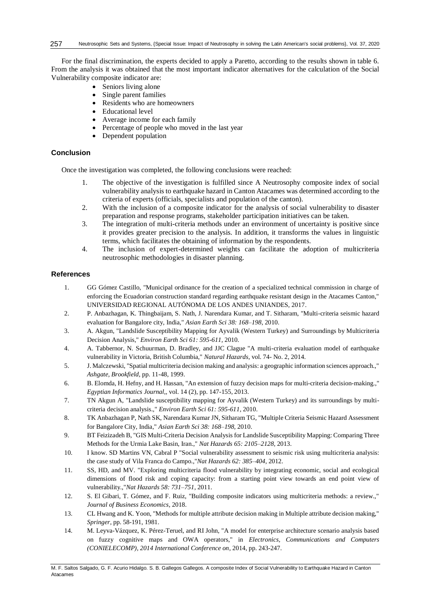For the final discrimination, the experts decided to apply a Paretto, according to the results shown in table 6. From the analysis it was obtained that the most important indicator alternatives for the calculation of the Social Vulnerability composite indicator are:

- Seniors living alone
- Single parent families
- Residents who are homeowners
- Educational level
- Average income for each family
- Percentage of people who moved in the last year
- Dependent population

## **Conclusion**

Once the investigation was completed, the following conclusions were reached:

- 1. The objective of the investigation is fulfilled since A Neutrosophy composite index of social vulnerability analysis to earthquake hazard in Canton Atacames was determined according to the criteria of experts (officials, specialists and population of the canton).
- 2. With the inclusion of a composite indicator for the analysis of social vulnerability to disaster preparation and response programs, stakeholder participation initiatives can be taken.
- 3. The integration of multi-criteria methods under an environment of uncertainty is positive since it provides greater precision to the analysis. In addition, it transforms the values in linguistic terms, which facilitates the obtaining of information by the respondents.
- 4. The inclusion of expert-determined weights can facilitate the adoption of multicriteria neutrosophic methodologies in disaster planning.

# **References**

- <span id="page-7-0"></span>1. GG Gómez Castillo, "Municipal ordinance for the creation of a specialized technical commission in charge of enforcing the Ecuadorian construction standard regarding earthquake resistant design in the Atacames Canton," UNIVERSIDAD REGIONAL AUTÓNOMA DE LOS ANDES UNIANDES, 2017.
- <span id="page-7-7"></span>2. P. Anbazhagan, K. Thingbaijam, S. Nath, J. Narendara Kumar, and T. Sitharam, "Multi-criteria seismic hazard evaluation for Bangalore city, India," *Asian Earth Sci 38: 168–198,* 2010.
- <span id="page-7-1"></span>3. A. Akgun, "Landslide Susceptibility Mapping for Ayvalik (Western Turkey) and Surroundings by Multicriteria Decision Analysis," *Environ Earth Sci 61: 595-611,* 2010.
- <span id="page-7-8"></span>4. A. Tabbernor, N. Schuurman, D. Bradley, and JJC Clague "A multi-criteria evaluation model of earthquake vulnerability in Victoria, British Columbia," *Natural Hazards,* vol. 74- No. 2, 2014.
- <span id="page-7-2"></span>5. J. Malczewski, "Spatial multicriteria decision making and analysis: a geographic information sciences approach.," *Ashgate, Brookfield,* pp. 11-48, 1999.
- <span id="page-7-3"></span>6. B. Elomda, H. Hefny, and H. Hassan, "An extension of fuzzy decision maps for multi-criteria decision-making.," *Egyptian Informatics Journal,,* vol. 14 (2), pp. 147-155, 2013.
- <span id="page-7-4"></span>7. TN Akgun A, "Landslide susceptibility mapping for Ayvalik (Western Turkey) and its surroundings by multicriteria decision analysis.," *Environ Earth Sci 61: 595-611,* 2010.
- 8. TK Anbazhagan P, Nath SK, Narendara Kumar JN, Sitharam TG, "Multiple Criteria Seismic Hazard Assessment for Bangalore City, India," *Asian Earth Sci 38: 168–198,* 2010.
- 9. BT Feizizadeh B, "GIS Multi-Criteria Decision Analysis for Landslide Susceptibility Mapping: Comparing Three Methods for the Urmia Lake Basin, Iran.," *Nat Hazards 65: 2105–2128,* 2013.
- <span id="page-7-5"></span>10. I know. SD Martins VN, Cabral P "Social vulnerability assessment to seismic risk using multicriteria analysis: the case study of Vila Franca do Campo.,"*Nat Hazards 62: 385–404,* 2012.
- 11. SS, HD, and MV. "Exploring multicriteria flood vulnerability by integrating economic, social and ecological dimensions of flood risk and coping capacity: from a starting point view towards an end point view of vulnerability.,"*Nat Hazards 58: 731–751,* 2011.
- <span id="page-7-6"></span>12. S. El Gibari, T. Gómez, and F. Ruiz, "Building composite indicators using multicriteria methods: a review.," *Journal of Business Economics,* 2018.
- 13. CL Hwang and K. Yoon, "Methods for multiple attribute decision making in Multiple attribute decision making," *Springer,* pp. 58-191, 1981.
- 14. M. Leyva-Vázquez, K. Pérez-Teruel, and RI John, "A model for enterprise architecture scenario analysis based on fuzzy cognitive maps and OWA operators," in *Electronics, Communications and Computers (CONIELECOMP), 2014 International Conference on*, 2014, pp. 243-247.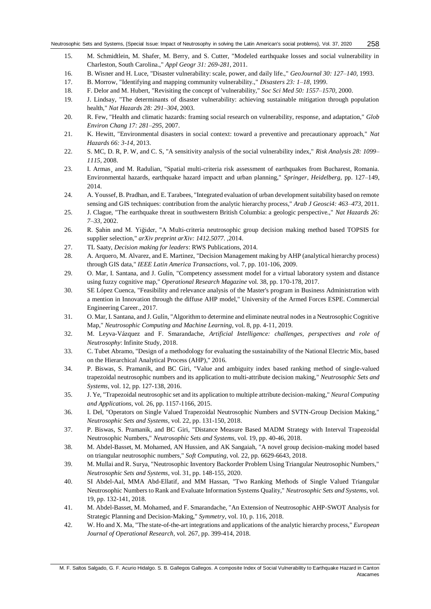- 15. M. Schmidtlein, M. Shafer, M. Berry, and S. Cutter, "Modeled earthquake losses and social vulnerability in Charleston, South Carolina.," *Appl Geogr 31: 269-281,* 2011.
- <span id="page-8-0"></span>16. B. Wisner and H. Luce, "Disaster vulnerability: scale, power, and daily life.," *GeoJournal 30: 127–140,* 1993.
- 17. B. Morrow, "Identifying and mapping community vulnerability.," *Disasters 23: 1–18,* 1999.
- 18. F. Delor and M. Hubert, "Revisiting the concept of 'vulnerability," *Soc Sci Med 50: 1557–1570,* 2000.
- 19. J. Lindsay, "The determinants of disaster vulnerability: achieving sustainable mitigation through population health," *Nat Hazards 28: 291–304,* 2003.
- 20. R. Few, "Health and climatic hazards: framing social research on vulnerability, response, and adaptation," *Glob Environ Chang 17: 281–295,* 2007.
- 21. K. Hewitt, "Environmental disasters in social context: toward a preventive and precautionary approach," *Nat Hazards 66: 3-14,* 2013.
- <span id="page-8-1"></span>22. S. MC, D. R, P. W, and C. S, "A sensitivity analysis of the social vulnerability index," *Risk Analysis 28: 1099– 1115,* 2008.
- <span id="page-8-2"></span>23. I. Armas¸ and M. Radulian, "Spatial multi-criteria risk assessment of earthquakes from Bucharest, Romania. Environmental hazards, earthquake hazard impactt and urban planning," *Springer, Heidelberg,* pp. 127–149, 2014.
- 24. A. Youssef, B. Pradhan, and E. Tarabees, "Integrated evaluation of urban development suitability based on remote sensing and GIS techniques: contribution from the analytic hierarchy process," *Arab J Geosci4: 463–473,* 2011.
- 25. J. Clague, "The earthquake threat in southwestern British Columbia: a geologic perspective.," *Nat Hazards 26: 7–33,* 2002.
- <span id="page-8-3"></span>26. R. Şahin and M. Yiğider, "A Multi-criteria neutrosophic group decision making method based TOPSIS for supplier selection," *arXiv preprint arXiv: 1412.5077. ,*2014.
- <span id="page-8-4"></span>27. TL Saaty, *Decision making for leaders*: RWS Publications, 2014.
- <span id="page-8-9"></span>28. A. Arquero, M. Alvarez, and E. Martinez, "Decision Management making by AHP (analytical hierarchy process) through GIS data," *IEEE Latin America Transactions,* vol. 7, pp. 101-106, 2009.
- <span id="page-8-10"></span>29. O. Mar, I. Santana, and J. Gulín, "Competency assessment model for a virtual laboratory system and distance using fuzzy cognitive map," *Operational Research Magazine* vol. 38, pp. 170-178, 2017.
- <span id="page-8-11"></span>30. SE López Cuenca, "Feasibility and relevance analysis of the Master's program in Business Administration with a mention in Innovation through the diffuse AHP model," University of the Armed Forces ESPE. Commercial Engineering Career., 2017.
- <span id="page-8-12"></span>31. O. Mar, I. Santana, and J. Gulín, "Algorithm to determine and eliminate neutral nodes in a Neutrosophic Cognitive Map," *Neutrosophic Computing and Machine Learning,* vol. 8, pp. 4-11, 2019.
- <span id="page-8-13"></span>32. M. Leyva-Vázquez and F. Smarandache, *Artificial Intelligence: challenges, perspectives and role of Neutrosophy*: Infinite Study, 2018.
- <span id="page-8-14"></span>33. C. Tubet Abramo, "Design of a methodology for evaluating the sustainability of the National Electric Mix, based on the Hierarchical Analytical Process (AHP)," 2016.
- <span id="page-8-5"></span>34. P. Biswas, S. Pramanik, and BC Giri, "Value and ambiguity index based ranking method of single-valued trapezoidal neutrosophic numbers and its application to multi-attribute decision making," *Neutrosophic Sets and Systems,* vol. 12, pp. 127-138, 2016.
- <span id="page-8-6"></span>35. J. Ye, "Trapezoidal neutrosophic set and its application to multiple attribute decision-making," *Neural Computing and Applications,* vol. 26, pp. 1157-1166, 2015.
- 36. I. Del, "Operators on Single Valued Trapezoidal Neutrosophic Numbers and SVTN-Group Decision Making," *Neutrosophic Sets and Systems,* vol. 22, pp. 131-150, 2018.
- 37. P. Biswas, S. Pramanik, and BC Giri, "Distance Measure Based MADM Strategy with Interval Trapezoidal Neutrosophic Numbers," *Neutrosophic Sets and Systems,* vol. 19, pp. 40-46, 2018.
- <span id="page-8-7"></span>38. M. Abdel-Basset, M. Mohamed, AN Hussien, and AK Sangaiah, "A novel group decision-making model based on triangular neutrosophic numbers," *Soft Computing,* vol. 22, pp. 6629-6643, 2018.
- 39. M. Mullai and R. Surya, "Neutrosophic Inventory Backorder Problem Using Triangular Neutrosophic Numbers," *Neutrosophic Sets and Systems,* vol. 31, pp. 148-155, 2020.
- 40. SI Abdel-Aal, MMA Abd-Ellatif, and MM Hassan, "Two Ranking Methods of Single Valued Triangular Neutrosophic Numbers to Rank and Evaluate Information Systems Quality," *Neutrosophic Sets and Systems,* vol. 19, pp. 132-141, 2018.
- <span id="page-8-8"></span>41. M. Abdel-Basset, M. Mohamed, and F. Smarandache, "An Extension of Neutrosophic AHP-SWOT Analysis for Strategic Planning and Decision-Making," *Symmetry,* vol. 10, p. 116, 2018.
- <span id="page-8-15"></span>42. W. Ho and X. Ma, "The state-of-the-art integrations and applications of the analytic hierarchy process," *European Journal of Operational Research,* vol. 267, pp. 399-414, 2018.

M. F. Saltos Salgado, G. F. Acurio Hidalgo. S. B. Gallegos Gallegos. A composite Index of Social Vulnerability to Earthquake Hazard in Canton Atacames